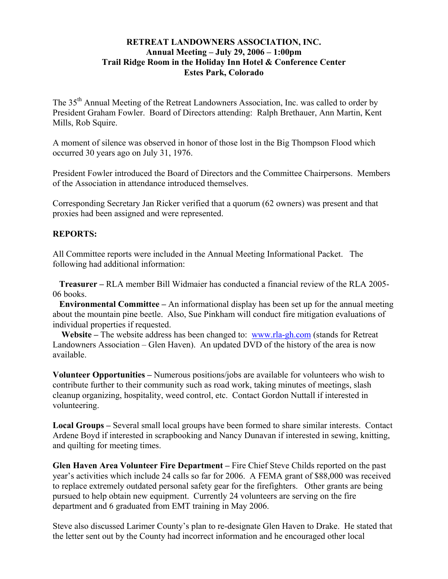## **RETREAT LANDOWNERS ASSOCIATION, INC. Annual Meeting – July 29, 2006 – 1:00pm Trail Ridge Room in the Holiday Inn Hotel & Conference Center Estes Park, Colorado**

The 35<sup>th</sup> Annual Meeting of the Retreat Landowners Association, Inc. was called to order by President Graham Fowler. Board of Directors attending: Ralph Brethauer, Ann Martin, Kent Mills, Rob Squire.

A moment of silence was observed in honor of those lost in the Big Thompson Flood which occurred 30 years ago on July 31, 1976.

President Fowler introduced the Board of Directors and the Committee Chairpersons. Members of the Association in attendance introduced themselves.

Corresponding Secretary Jan Ricker verified that a quorum (62 owners) was present and that proxies had been assigned and were represented.

## **REPORTS:**

All Committee reports were included in the Annual Meeting Informational Packet. The following had additional information:

 **Treasurer –** RLA member Bill Widmaier has conducted a financial review of the RLA 2005- 06 books.

 **Environmental Committee –** An informational display has been set up for the annual meeting about the mountain pine beetle. Also, Sue Pinkham will conduct fire mitigation evaluations of individual properties if requested.

 **Website –** The website address has been changed to: www.rla-gh.com (stands for Retreat Landowners Association – Glen Haven). An updated DVD of the history of the area is now available.

**Volunteer Opportunities –** Numerous positions/jobs are available for volunteers who wish to contribute further to their community such as road work, taking minutes of meetings, slash cleanup organizing, hospitality, weed control, etc. Contact Gordon Nuttall if interested in volunteering.

**Local Groups –** Several small local groups have been formed to share similar interests. Contact Ardene Boyd if interested in scrapbooking and Nancy Dunavan if interested in sewing, knitting, and quilting for meeting times.

**Glen Haven Area Volunteer Fire Department –** Fire Chief Steve Childs reported on the past year's activities which include 24 calls so far for 2006. A FEMA grant of \$88,000 was received to replace extremely outdated personal safety gear for the firefighters. Other grants are being pursued to help obtain new equipment. Currently 24 volunteers are serving on the fire department and 6 graduated from EMT training in May 2006.

Steve also discussed Larimer County's plan to re-designate Glen Haven to Drake. He stated that the letter sent out by the County had incorrect information and he encouraged other local